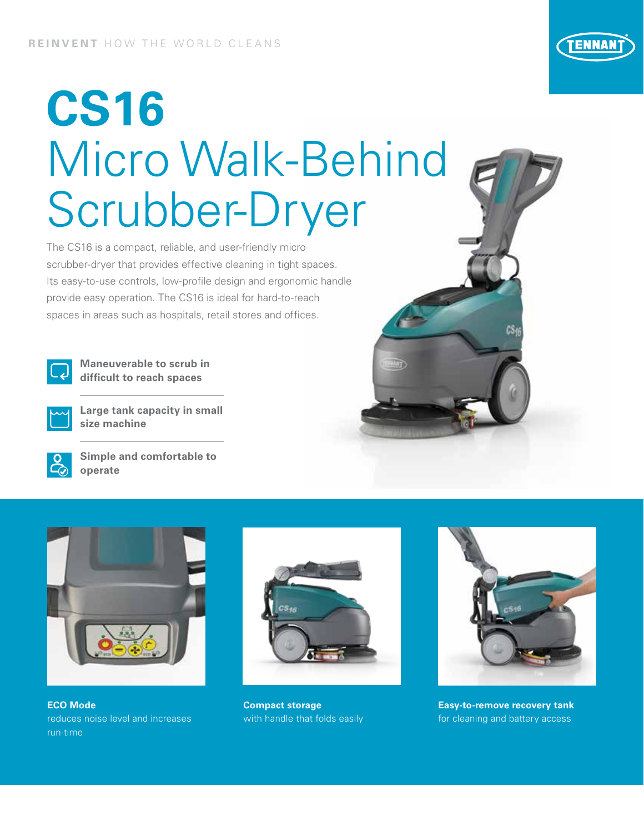

## **CS16** Micro Walk-Behind Scrubber-Dryer

The CS16 is a compact, reliable, and user-friendly micro scrubber-dryer that provides effective cleaning in tight spaces. Its easy-to-use controls, low-profile design and ergonomic handle provide easy operation. The CS16 is ideal for hard-to-reach spaces in areas such as hospitals, retail stores and offices.



**Maneuverable to scrub in difficult to reach spaces**



**Large tank capacity in small size machine**



**Simple and comfortable to operate**



**ECO Mode**  reduces noise level and increases run-time



**Compact storage**  with handle that folds easily



**Easy-to-remove recovery tank** for cleaning and battery access